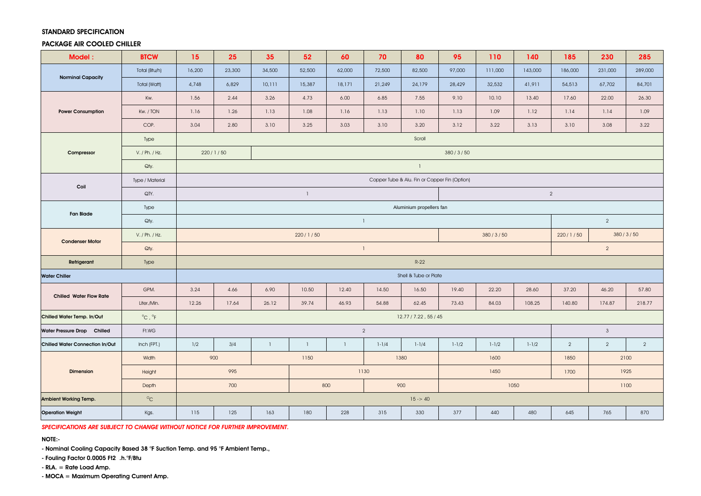#### STANDARD SPECIFICATION

## PACKAGE AIR COOLED CHILLER

| Model:                                 | <b>BTCW</b>                | 15                                            | 25       | 35             | 52             | 60           | 70        | 80             | 95             | 110                  | 140       | 185            | 230            | 285            |
|----------------------------------------|----------------------------|-----------------------------------------------|----------|----------------|----------------|--------------|-----------|----------------|----------------|----------------------|-----------|----------------|----------------|----------------|
| <b>Norminal Capacity</b>               | Total (Btu/h)              | 16,200                                        | 23,300   | 34,500         | 52,500         | 62,000       | 72,500    | 82,500         | 97,000         | 111,000              | 143,000   | 186,000        | 231,000        | 289,000        |
|                                        | Total (Watt)               | 4,748                                         | 6,829    | 10,111         | 15,387         | 18,171       | 21,249    | 24,179         | 28,429         | 32,532               | 41,911    | 54,513         | 67,702         | 84,701         |
| <b>Power Consumption</b>               | Kw.                        | 1.56                                          | 2.44     | 3.26           | 4.73           | 6.00         | 6.85      | 7.55           | 9.10           | 10.10                | 13.40     | 17.60          | 22.00          | 26.30          |
|                                        | Kw. / TON                  | 1.16                                          | 1.26     | 1.13           | 1.08           | 1.16         | 1.13      | 1.10           | 1.13           | 1.09                 | 1.12      | 1.14           | 1.14           | 1.09           |
|                                        | COP.                       | 3.04                                          | 2.80     | 3.10           | 3.25           | 3.03         | 3.10      | 3.20           | 3.12           | 3.22                 | 3.13      | 3.10           | 3.08           | 3.22           |
| Compressor                             | Type                       | Scroll                                        |          |                |                |              |           |                |                |                      |           |                |                |                |
|                                        | V. / Ph. / Hz.             |                                               | 220/1/50 |                | 380/3/50       |              |           |                |                |                      |           |                |                |                |
|                                        | Qty.                       | $\mathbf{1}$                                  |          |                |                |              |           |                |                |                      |           |                |                |                |
| Coil                                   | Type / Material            | Copper Tube & Alu. Fin or Copper Fin (Option) |          |                |                |              |           |                |                |                      |           |                |                |                |
|                                        | QTY.                       | $\mathbf{1}$                                  |          |                |                |              |           |                | $\overline{2}$ |                      |           |                |                |                |
| <b>Fan Blade</b>                       | Type                       | Aluminium propellers fan                      |          |                |                |              |           |                |                |                      |           |                |                |                |
|                                        | Qty.                       | $\mathbf{1}$                                  |          |                |                |              |           | $\overline{2}$ |                |                      |           |                |                |                |
| <b>Condenser Motor</b>                 | V. / Ph. / Hz.             | 220/1/50                                      |          |                |                |              |           |                | 380/3/50       | 380/3/50<br>220/1/50 |           |                |                |                |
|                                        | Qty.                       | $\overline{2}$<br>$\overline{1}$              |          |                |                |              |           |                |                |                      |           |                |                |                |
| Refrigerant                            | Type                       |                                               | $R-22$   |                |                |              |           |                |                |                      |           |                |                |                |
| <b>Water Chiller</b>                   |                            | Shell & Tube or Plate                         |          |                |                |              |           |                |                |                      |           |                |                |                |
| <b>Chilled Water Flow Rate</b>         | GPM.                       | 3.24                                          | 4.66     | 6.90           | 10.50          | 12.40        | 14.50     | 16.50          | 19.40          | 22.20                | 28.60     | 37.20          | 46.20          | 57.80          |
|                                        | Liter./Min.                | 12.26                                         | 17.64    | 26.12          | 39.74          | 46.93        | 54.88     | 62.45          | 73.43          | 84.03                | 108.25    | 140.80         | 174.87         | 218.77         |
| Chilled Water Temp. In/Out             | $^{\circ}$ C, $^{\circ}$ F | 12.77 / 7.22, 55 / 45                         |          |                |                |              |           |                |                |                      |           |                |                |                |
| Water Pressure Drop Chilled            | Ft.WG                      | $\mathbf{3}$<br>$\overline{2}$                |          |                |                |              |           |                |                |                      |           |                |                |                |
| <b>Chilled Water Connection In/Out</b> | Inch (FPT.)                | 1/2                                           | 3/4      | $\overline{1}$ | $\overline{1}$ | $\mathbf{1}$ | $1 - 1/4$ | $1 - 1/4$      | $1 - 1/2$      | $1 - 1/2$            | $1 - 1/2$ | $\overline{2}$ | $\overline{2}$ | $\overline{2}$ |
| <b>Dimension</b>                       | Width                      | 900                                           |          |                | 1150<br>1380   |              |           |                |                | 1600                 |           | 1850<br>2100   |                |                |
|                                        | Height                     | 995                                           |          |                | 1130           |              |           |                |                | 1450                 |           | 1700           | 1925           |                |
|                                        | Depth                      | 700                                           |          |                | 900<br>800     |              |           |                |                |                      | 1050      | 1100           |                |                |
| Ambient Working Temp.                  | $\circ_{\rm C}$            | $15 - 40$                                     |          |                |                |              |           |                |                |                      |           |                |                |                |
| <b>Operation Weight</b>                | Kgs.                       | 115                                           | 125      | 163            | 180            | 228          | 315       | 330            | 377            | 440                  | 480       | 645            | 765            | 870            |

*SPECIFICATIONS ARE SUBJECT TO CHANGE WITHOUT NOTICE FOR FURTHER IMPROVEMENT.*

NOTE:-

- Nominal Cooling Capacity Based 38 °F Suction Temp. and 95 °F Ambient Temp.,

- Fouling Factor 0.0005 Ft2 .h.°F/Btu

- RLA. = Rate Load Amp.

- MOCA = Maximum Operating Current Amp.